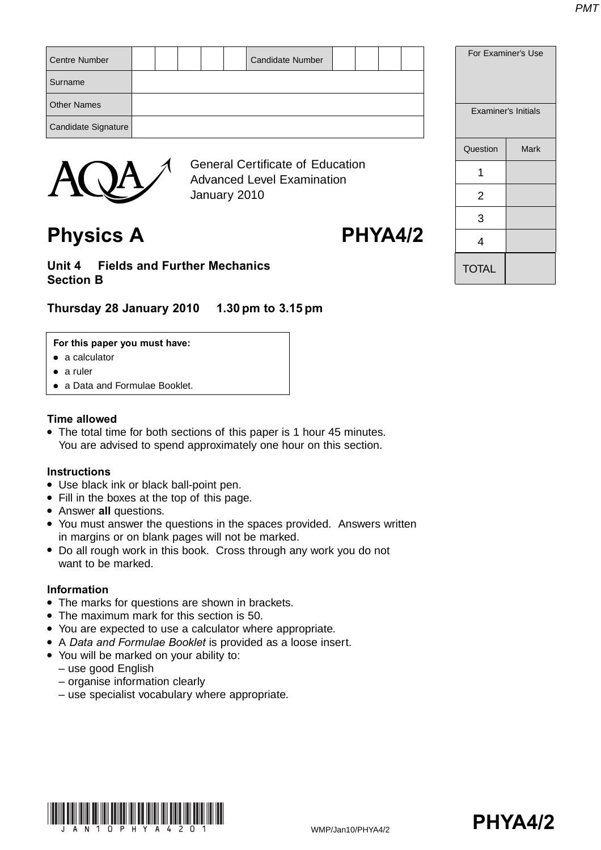| <b>Centre Number</b>                                                         |  |  |  |              |  | <b>Candidate Number</b> |  |  |  | For Examine |  |
|------------------------------------------------------------------------------|--|--|--|--------------|--|-------------------------|--|--|--|-------------|--|
| Surname                                                                      |  |  |  |              |  |                         |  |  |  |             |  |
| <b>Other Names</b>                                                           |  |  |  |              |  |                         |  |  |  | Examiner's  |  |
| Candidate Signature                                                          |  |  |  |              |  |                         |  |  |  |             |  |
|                                                                              |  |  |  |              |  |                         |  |  |  | Question    |  |
| <b>General Certificate of Education</b><br><b>Advanced Level Examination</b> |  |  |  |              |  |                         |  |  |  |             |  |
|                                                                              |  |  |  | January 2010 |  |                         |  |  |  |             |  |

# **Physics A PHYA4/2**

**Unit 4 Fields and Further Mechanics Section B**

## **Thursday 28 January 2010 1.30 pm to 3.15 pm**

#### **For this paper you must have:**

- a calculator
- a ruler
- a Data and Formulae Booklet.

### **Time allowed**

• The total time for both sections of this paper is 1 hour 45 minutes. You are advised to spend approximately one hour on this section.

#### **Instructions**

- Use black ink or black ball-point pen.
- Fill in the boxes at the top of this page.
- Answer **all** questions.
- You must answer the questions in the spaces provided. Answers written in margins or on blank pages will not be marked.
- Do all rough work in this book. Cross through any work you do not want to be marked.

#### **Information**

- The marks for questions are shown in brackets.
- The maximum mark for this section is 50.
- You are expected to use a calculator where appropriate.
- A *Data and Formulae Booklet* is provided as a loose insert.
- You will be marked on your ability to:
- use good English
	- organise information clearly
	- use specialist vocabulary where appropriate.





**TOTAL**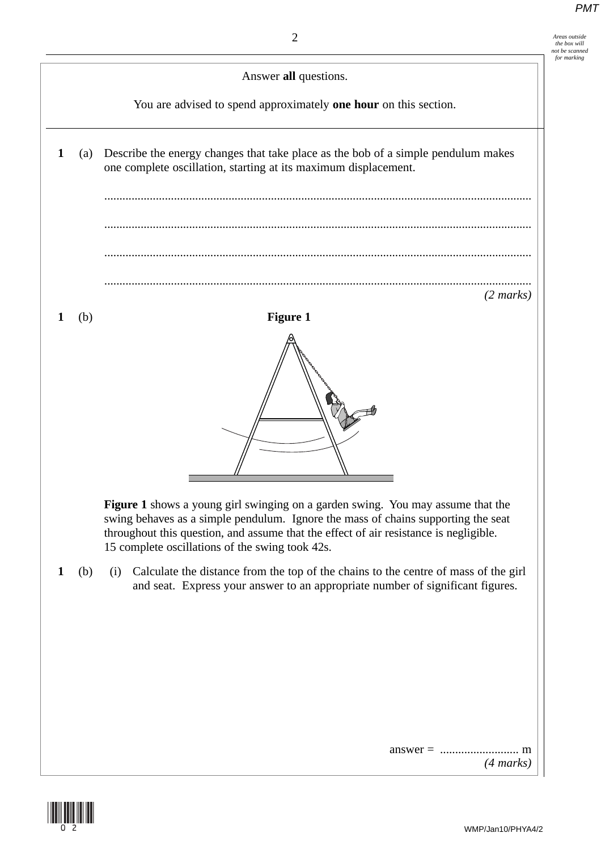*the box will*



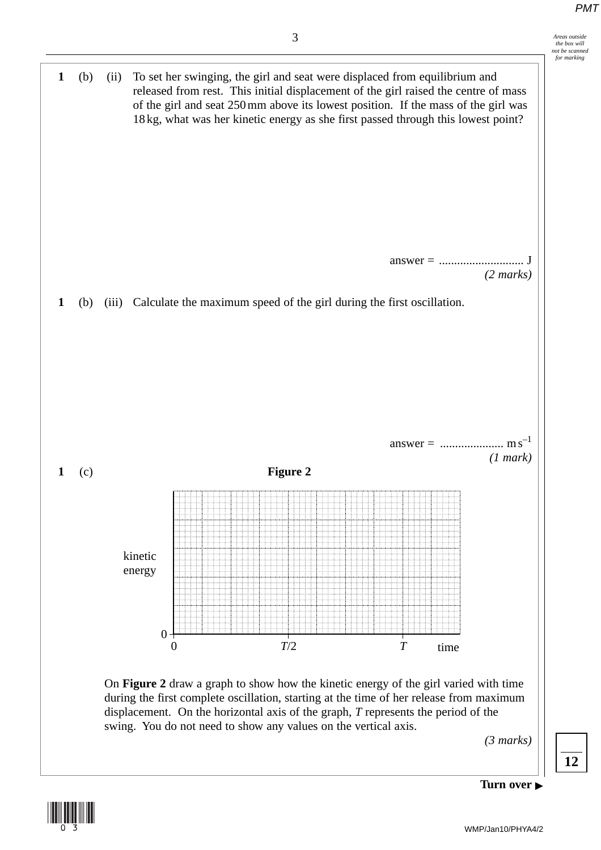$\frac{3}{\frac{1}{2}}$  *Areas outside the box will not be scanned for marking*





**12**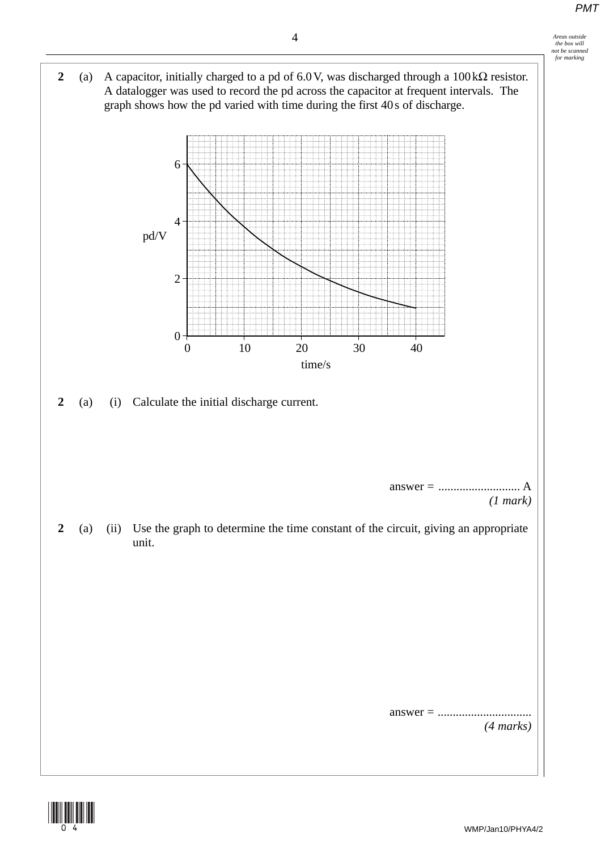

**2** (a) A capacitor, initially charged to a pd of 6.0 V, was discharged through a 100 kΩ resistor. A datalogger was used to record the pd across the capacitor at frequent intervals. The graph shows how the pd varied with time during the first 40 s of discharge.



answer = ............................... *(4 marks)*

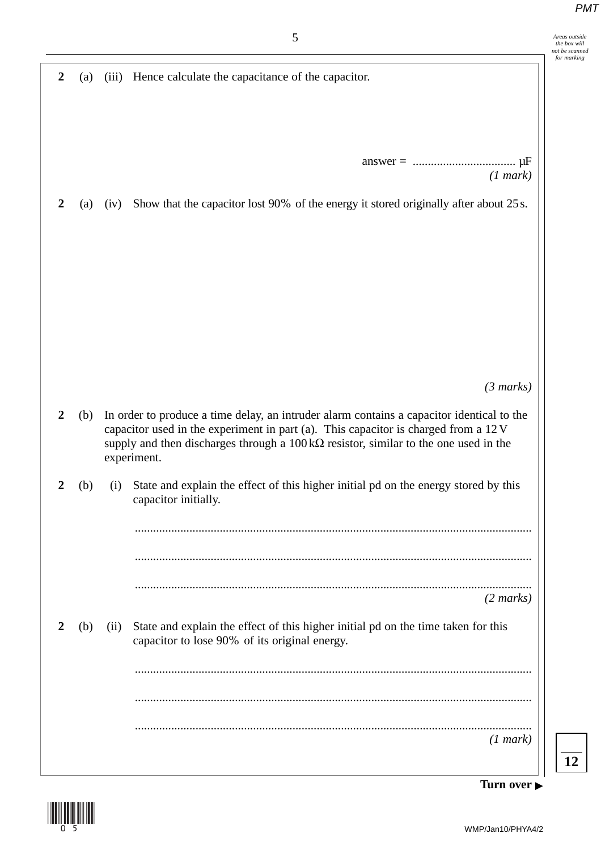5 *Areas outside the box will not be scanned for marking* **2** (a) (iii) Hence calculate the capacitance of the capacitor. answer = .................................. µF *(1 mark)* **2** (a) (iv) Show that the capacitor lost 90% of the energy it stored originally after about 25s. *(3 marks)* **2** (b) In order to produce a time delay, an intruder alarm contains a capacitor identical to the capacitor used in the experiment in part (a). This capacitor is charged from a 12 V supply and then discharges through a  $100 \text{ k}\Omega$  resistor, similar to the one used in the experiment. **2** (b) (i) State and explain the effect of this higher initial pd on the energy stored by this capacitor initially. ................................................................................................................................... ................................................................................................................................... ................................................................................................................................... *(2 marks)* **2** (b) (ii) State and explain the effect of this higher initial pd on the time taken for this capacitor to lose 90% of its original energy. ................................................................................................................................... ................................................................................................................................... ................................................................................................................................... *(1 mark)* **12**

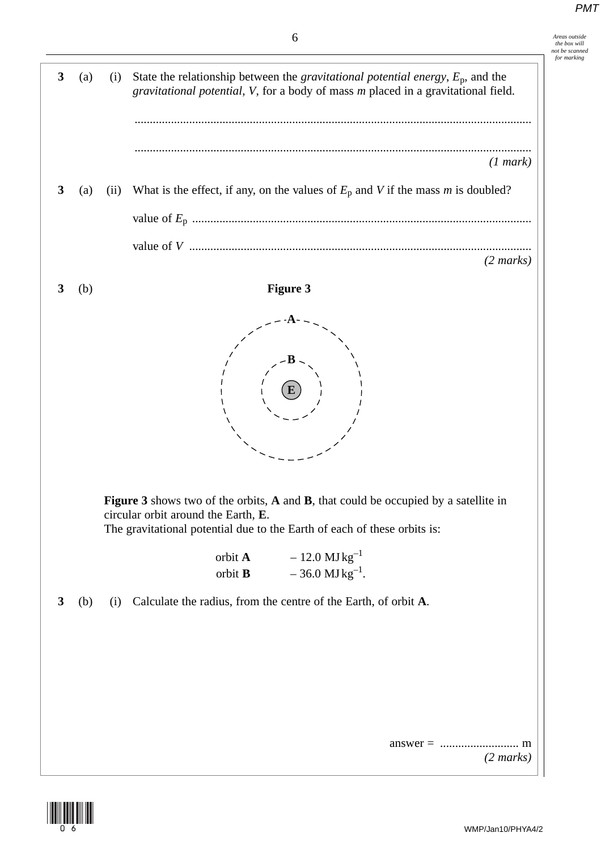|              |     |      | 6                                                                                                                                                                               |
|--------------|-----|------|---------------------------------------------------------------------------------------------------------------------------------------------------------------------------------|
| $\mathbf{3}$ | (a) | (i)  | State the relationship between the <i>gravitational potential energy</i> , $E_p$ , and the<br>gravitational potential, V, for a body of mass m placed in a gravitational field. |
|              |     |      | (1 mark)                                                                                                                                                                        |
| 3            | (a) | (ii) | What is the effect, if any, on the values of $E_p$ and V if the mass m is doubled?                                                                                              |
|              |     |      |                                                                                                                                                                                 |
|              |     |      |                                                                                                                                                                                 |
|              |     |      | $(2 \text{ marks})$                                                                                                                                                             |
| 3            | (b) |      | Figure 3                                                                                                                                                                        |
|              |     |      | <b>Figure 3</b> shows two of the orbits, A and B, that could be occupied by a satellite in                                                                                      |
|              |     |      | circular orbit around the Earth, E.<br>The gravitational potential due to the Earth of each of these orbits is:                                                                 |
|              |     |      | $-$ 12.0 $\rm MJ\,kg^{-1}$<br>orbit A<br>$-36.0$ MJ kg <sup>-1</sup> .<br>orbit B                                                                                               |
| 3            | (b) | (i)  | Calculate the radius, from the centre of the Earth, of orbit A.                                                                                                                 |
|              |     |      |                                                                                                                                                                                 |
|              |     |      |                                                                                                                                                                                 |



*(2 marks)*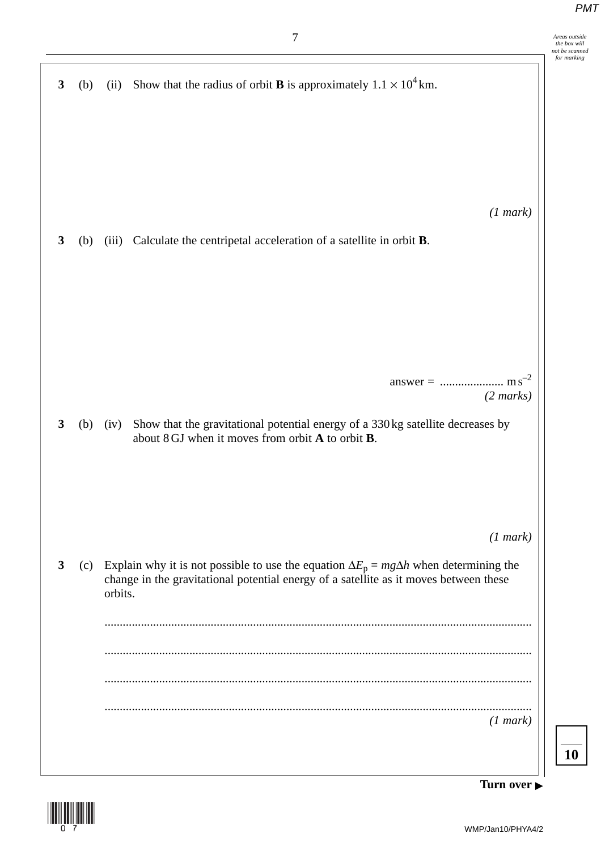| Show that the radius of orbit <b>B</b> is approximately $1.1 \times 10^4$ km.<br>(1 mark)<br>Calculate the centripetal acceleration of a satellite in orbit <b>B</b> .                                 |
|--------------------------------------------------------------------------------------------------------------------------------------------------------------------------------------------------------|
|                                                                                                                                                                                                        |
|                                                                                                                                                                                                        |
| $(2 \text{ marks})$<br>Show that the gravitational potential energy of a 330 kg satellite decreases by<br>about 8 GJ when it moves from orbit A to orbit B.                                            |
| (1 mark)<br>Explain why it is not possible to use the equation $\Delta E_p = mg\Delta h$ when determining the<br>change in the gravitational potential energy of a satellite as it moves between these |
| (1 mark)                                                                                                                                                                                               |
|                                                                                                                                                                                                        |



**Turn over** -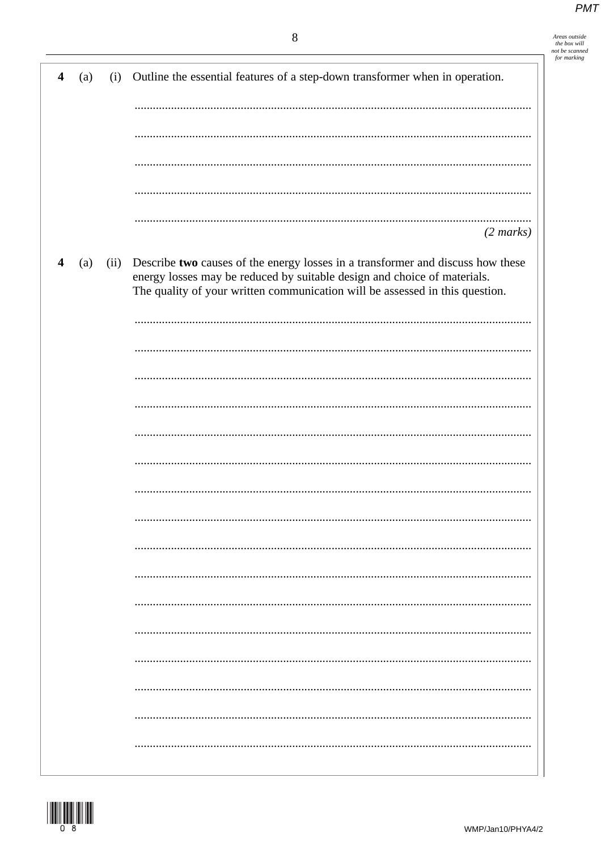Areas outside<br>the box will<br>not be scanned<br>for marking

| (a)<br>(i)  | Outline the essential features of a step-down transformer when in operation.                                                                                                                                                                |
|-------------|---------------------------------------------------------------------------------------------------------------------------------------------------------------------------------------------------------------------------------------------|
|             |                                                                                                                                                                                                                                             |
|             |                                                                                                                                                                                                                                             |
|             |                                                                                                                                                                                                                                             |
|             |                                                                                                                                                                                                                                             |
|             | $(2 \text{ marks})$                                                                                                                                                                                                                         |
| (a)<br>(ii) | Describe two causes of the energy losses in a transformer and discuss how these<br>energy losses may be reduced by suitable design and choice of materials.<br>The quality of your written communication will be assessed in this question. |
|             |                                                                                                                                                                                                                                             |
|             |                                                                                                                                                                                                                                             |
|             |                                                                                                                                                                                                                                             |
|             |                                                                                                                                                                                                                                             |
|             |                                                                                                                                                                                                                                             |
|             |                                                                                                                                                                                                                                             |
|             |                                                                                                                                                                                                                                             |
|             |                                                                                                                                                                                                                                             |
|             |                                                                                                                                                                                                                                             |
|             |                                                                                                                                                                                                                                             |
|             |                                                                                                                                                                                                                                             |
|             |                                                                                                                                                                                                                                             |
|             |                                                                                                                                                                                                                                             |
|             |                                                                                                                                                                                                                                             |
|             |                                                                                                                                                                                                                                             |



 $\overline{\mathbf{4}}$ 

 $\overline{\mathbf{4}}$ 

. . . . . .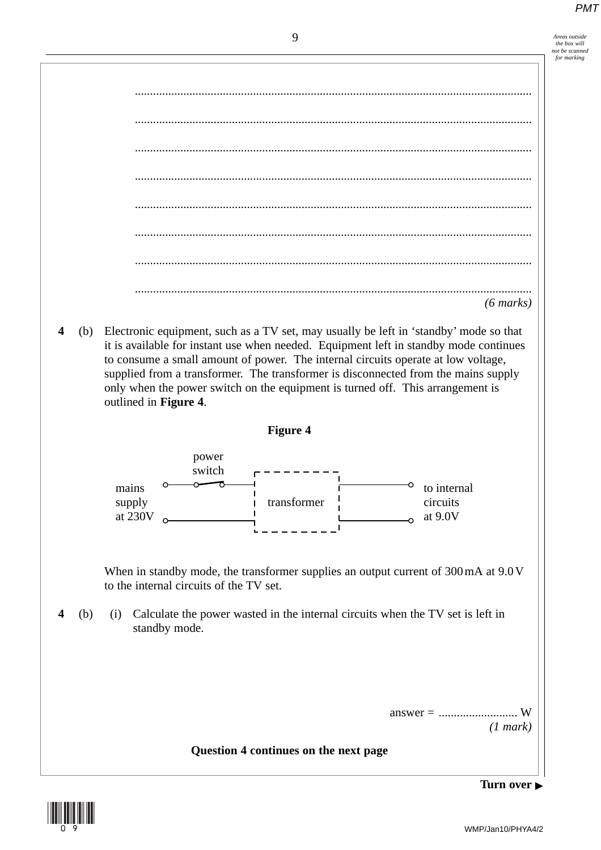$9$  *Areas outside*<br>the box will *the box will not be scanned for marking*



WMP/Jan10/PHYA4/2 (09)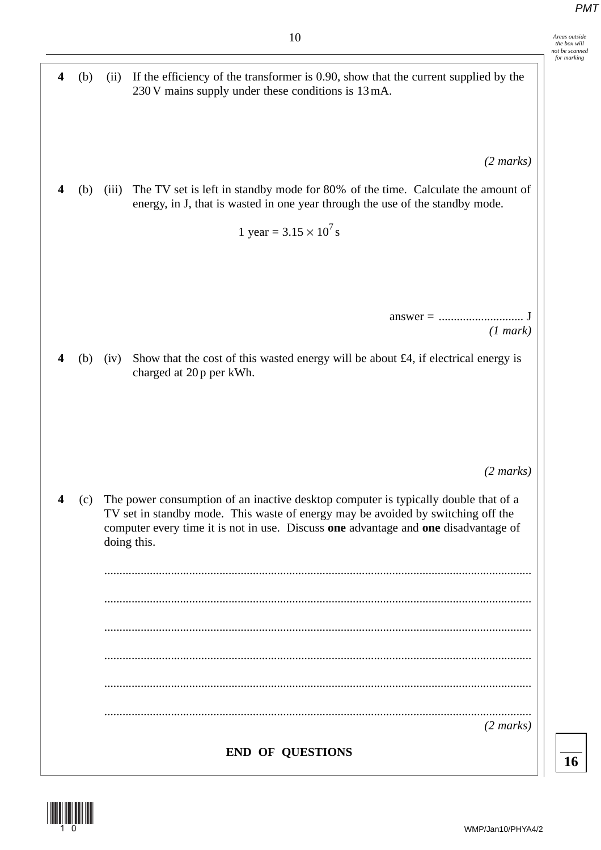| 4 | (b) | (ii)  | If the efficiency of the transformer is 0.90, show that the current supplied by the<br>230 V mains supply under these conditions is 13 mA.                                                                                                                                                           |
|---|-----|-------|------------------------------------------------------------------------------------------------------------------------------------------------------------------------------------------------------------------------------------------------------------------------------------------------------|
|   | (b) | (iii) | $(2 \text{ marks})$<br>The TV set is left in standby mode for 80% of the time. Calculate the amount of<br>energy, in J, that is wasted in one year through the use of the standby mode.<br>1 year = $3.15 \times 10^7$ s                                                                             |
| 4 | (b) | (iv)  | (1 mark)<br>Show that the cost of this wasted energy will be about £4, if electrical energy is<br>charged at 20 p per kWh.                                                                                                                                                                           |
|   | (c) |       | $(2 \text{ marks})$<br>The power consumption of an inactive desktop computer is typically double that of a<br>TV set in standby mode. This waste of energy may be avoided by switching off the<br>computer every time it is not in use. Discuss one advantage and one disadvantage of<br>doing this. |
|   |     |       | $(2 \text{ marks})$                                                                                                                                                                                                                                                                                  |
|   |     |       | <b>END OF QUESTIONS</b>                                                                                                                                                                                                                                                                              |



**16**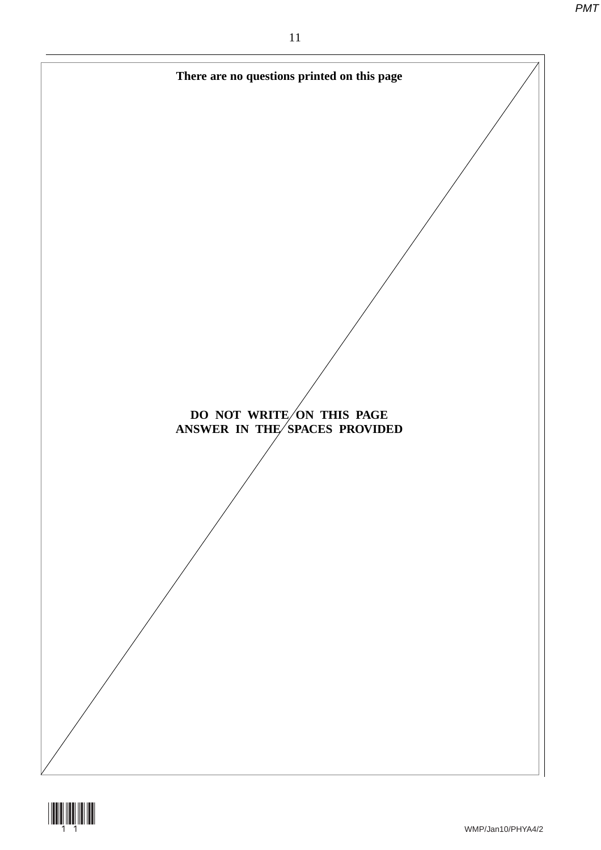